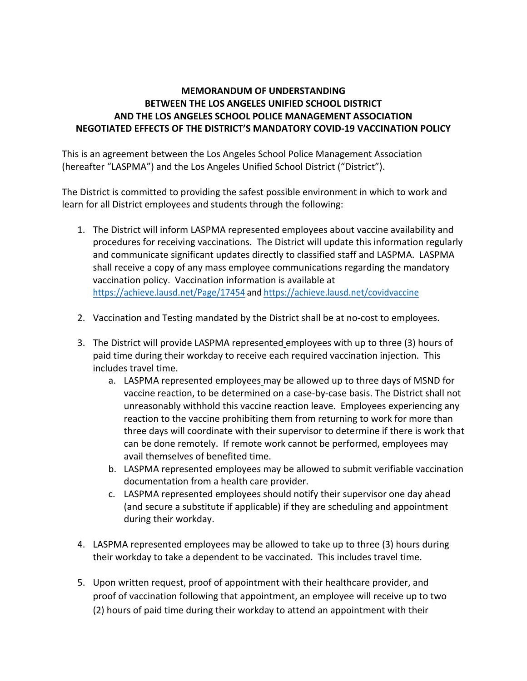## **MEMORANDUM OF UNDERSTANDING BETWEEN THE LOS ANGELES UNIFIED SCHOOL DISTRICT AND THE LOS ANGELES SCHOOL POLICE MANAGEMENT ASSOCIATION NEGOTIATED EFFECTS OF THE DISTRICT'S MANDATORY COVID-19 VACCINATION POLICY**

This is an agreement between the Los Angeles School Police Management Association (hereafter "LASPMA") and the Los Angeles Unified School District ("District").

The District is committed to providing the safest possible environment in which to work and learn for all District employees and students through the following:

- 1. The District will inform LASPMA represented employees about vaccine availability and procedures for receiving vaccinations. The District will update this information regularly and communicate significant updates directly to classified staff and LASPMA. LASPMA shall receive a copy of any mass employee communications regarding the mandatory vaccination policy. Vaccination information is available at https://achieve.lausd.net/Page/17454 and https://achieve.lausd.net/covidvaccine
- 2. Vaccination and Testing mandated by the District shall be at no-cost to employees.
- 3. The District will provide LASPMA represented employees with up to three (3) hours of paid time during their workday to receive each required vaccination injection. This includes travel time.
	- a. LASPMA represented employees may be allowed up to three days of MSND for vaccine reaction, to be determined on a case-by-case basis. The District shall not unreasonably withhold this vaccine reaction leave. Employees experiencing any reaction to the vaccine prohibiting them from returning to work for more than three days will coordinate with their supervisor to determine if there is work that can be done remotely. If remote work cannot be performed, employees may avail themselves of benefited time.
	- b. LASPMA represented employees may be allowed to submit verifiable vaccination documentation from a health care provider.
	- c. LASPMA represented employees should notify their supervisor one day ahead (and secure a substitute if applicable) if they are scheduling and appointment during their workday.
- 4. LASPMA represented employees may be allowed to take up to three (3) hours during their workday to take a dependent to be vaccinated. This includes travel time.
- 5. Upon written request, proof of appointment with their healthcare provider, and proof of vaccination following that appointment, an employee will receive up to two (2) hours of paid time during their workday to attend an appointment with their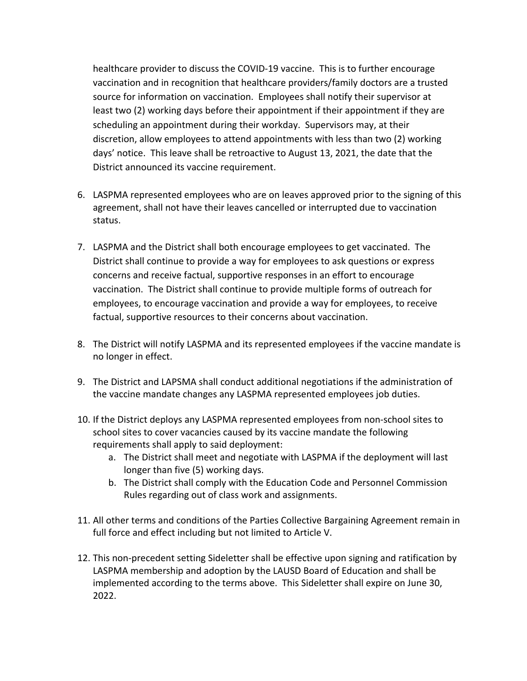healthcare provider to discuss the COVID-19 vaccine. This is to further encourage vaccination and in recognition that healthcare providers/family doctors are a trusted source for information on vaccination. Employees shall notify their supervisor at least two (2) working days before their appointment if their appointment if they are scheduling an appointment during their workday. Supervisors may, at their discretion, allow employees to attend appointments with less than two (2) working days' notice. This leave shall be retroactive to August 13, 2021, the date that the District announced its vaccine requirement.

- 6. LASPMA represented employees who are on leaves approved prior to the signing of this agreement, shall not have their leaves cancelled or interrupted due to vaccination status.
- 7. LASPMA and the District shall both encourage employees to get vaccinated. The District shall continue to provide a way for employees to ask questions or express concerns and receive factual, supportive responses in an effort to encourage vaccination. The District shall continue to provide multiple forms of outreach for employees, to encourage vaccination and provide a way for employees, to receive factual, supportive resources to their concerns about vaccination.
- 8. The District will notify LASPMA and its represented employees if the vaccine mandate is no longer in effect.
- 9. The District and LAPSMA shall conduct additional negotiations if the administration of the vaccine mandate changes any LASPMA represented employees job duties.
- 10. If the District deploys any LASPMA represented employees from non-school sites to school sites to cover vacancies caused by its vaccine mandate the following requirements shall apply to said deployment:
	- a. The District shall meet and negotiate with LASPMA if the deployment will last longer than five (5) working days.
	- b. The District shall comply with the Education Code and Personnel Commission Rules regarding out of class work and assignments.
- 11. All other terms and conditions of the Parties Collective Bargaining Agreement remain in full force and effect including but not limited to Article V.
- 12. This non-precedent setting Sideletter shall be effective upon signing and ratification by LASPMA membership and adoption by the LAUSD Board of Education and shall be implemented according to the terms above. This Sideletter shall expire on June 30, 2022.